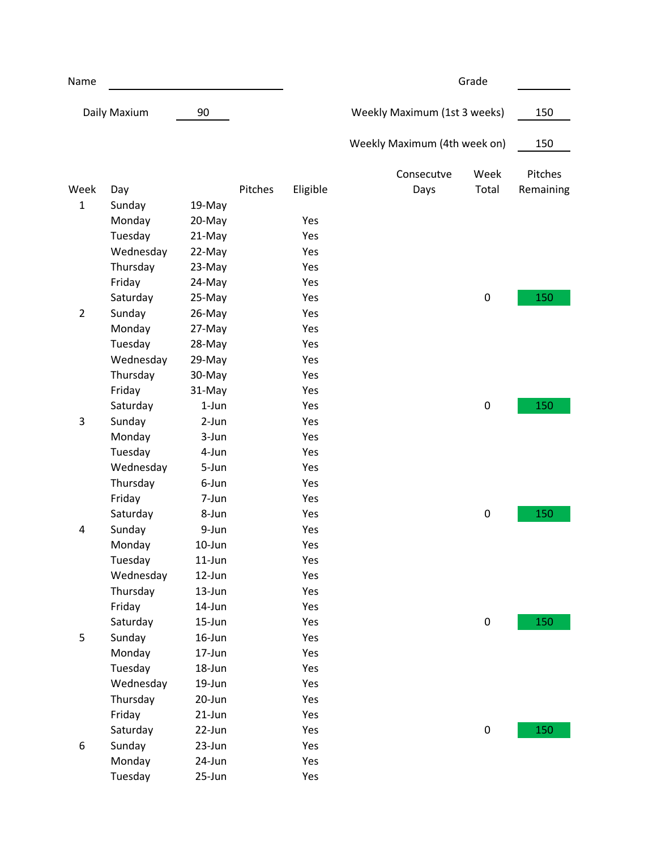| Name                           |           |            |         | Grade    |                              |           |           |
|--------------------------------|-----------|------------|---------|----------|------------------------------|-----------|-----------|
| Daily Maxium                   |           | 90         |         |          | Weekly Maximum (1st 3 weeks) |           | 150       |
|                                |           |            |         |          | Weekly Maximum (4th week on) |           | 150       |
|                                |           |            |         |          | Consecutve                   | Week      | Pitches   |
| Week                           | Day       |            | Pitches | Eligible | Days                         | Total     | Remaining |
| $\mathbf{1}$<br>$\overline{2}$ | Sunday    | 19-May     |         |          |                              |           |           |
|                                | Monday    | 20-May     |         | Yes      |                              |           |           |
|                                | Tuesday   | 21-May     |         | Yes      |                              |           |           |
|                                | Wednesday | 22-May     |         | Yes      |                              |           |           |
|                                | Thursday  | 23-May     |         | Yes      |                              |           |           |
|                                | Friday    | 24-May     |         | Yes      |                              |           |           |
|                                | Saturday  | 25-May     |         | Yes      |                              | $\pmb{0}$ | 150       |
|                                | Sunday    | 26-May     |         | Yes      |                              |           |           |
|                                | Monday    | 27-May     |         | Yes      |                              |           |           |
|                                | Tuesday   | 28-May     |         | Yes      |                              |           |           |
|                                | Wednesday | 29-May     |         | Yes      |                              |           |           |
|                                | Thursday  | 30-May     |         | Yes      |                              |           |           |
|                                | Friday    | 31-May     |         | Yes      |                              |           |           |
|                                | Saturday  | $1-Jun$    |         | Yes      |                              | $\pmb{0}$ | 150       |
| 3                              | Sunday    | 2-Jun      |         | Yes      |                              |           |           |
|                                | Monday    | 3-Jun      |         | Yes      |                              |           |           |
|                                | Tuesday   | 4-Jun      |         | Yes      |                              |           |           |
|                                | Wednesday | 5-Jun      |         | Yes      |                              |           |           |
|                                | Thursday  | 6-Jun      |         | Yes      |                              |           |           |
|                                | Friday    | 7-Jun      |         | Yes      |                              |           |           |
|                                | Saturday  | 8-Jun      |         | Yes      |                              | 0         | 150       |
| 4                              | Sunday    | 9-Jun      |         | Yes      |                              |           |           |
|                                | Monday    | 10-Jun     |         | Yes      |                              |           |           |
|                                | Tuesday   | 11-Jun     |         | Yes      |                              |           |           |
|                                | Wednesday | 12-Jun     |         | Yes      |                              |           |           |
|                                | Thursday  | 13-Jun     |         | Yes      |                              |           |           |
|                                | Friday    | 14-Jun     |         | Yes      |                              |           |           |
|                                | Saturday  | $15 - Jun$ |         | Yes      |                              | 0         | 150       |
| 5                              | Sunday    | 16-Jun     |         | Yes      |                              |           |           |
|                                | Monday    | 17-Jun     |         | Yes      |                              |           |           |
|                                | Tuesday   | 18-Jun     |         | Yes      |                              |           |           |
|                                | Wednesday | 19-Jun     |         | Yes      |                              |           |           |
|                                | Thursday  | 20-Jun     |         | Yes      |                              |           |           |
|                                | Friday    | 21-Jun     |         | Yes      |                              |           |           |
|                                | Saturday  | 22-Jun     |         | Yes      |                              | 0         | 150       |
| 6                              | Sunday    | 23-Jun     |         | Yes      |                              |           |           |
|                                | Monday    | 24-Jun     |         | Yes      |                              |           |           |
|                                | Tuesday   | 25-Jun     |         | Yes      |                              |           |           |
|                                |           |            |         |          |                              |           |           |